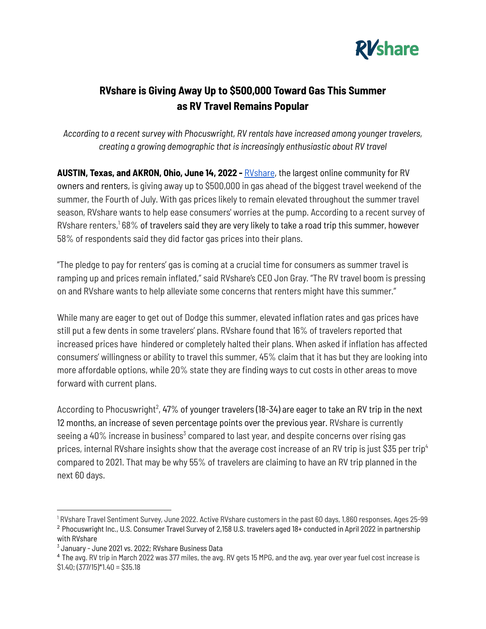

## **RVshare is Giving Away Up to \$500,000 Toward Gas This Summer as RV Travel Remains Popular**

*According to a recent survey with Phocuswright, RV rentals have increased among younger travelers, creating a growing demographic that is increasingly enthusiastic about RV travel*

**AUSTIN, Texas, and AKRON, Ohio, June 14, 2022 -** [RVshare](https://rvshare.com/), the largest online community for RV owners and renters, is giving away up to \$500,000 in gas ahead of the biggest travel weekend of the summer, the Fourth of July. With gas prices likely to remain elevated throughout the summer travel season, RVshare wants to help ease consumers' worries at the pump. According to a recent survey of RVshare renters, $168\%$  of travelers said they are very likely to take a road trip this summer, however 58% of respondents said they did factor gas prices into their plans.

"The pledge to pay for renters' gas is coming at a crucial time for consumers as summer travel is ramping up and prices remain inflated," said RVshare's CEO Jon Gray. "The RV travel boom is pressing on and RVshare wants to help alleviate some concerns that renters might have this summer."

While many are eager to get out of Dodge this summer, elevated inflation rates and gas prices have still put a few dents in some travelers' plans. RVshare found that 16% of travelers reported that increased prices have hindered or completely halted their plans. When asked if inflation has affected consumers' willingness or ability to travel this summer, 45% claim that it has but they are looking into more affordable options, while 20% state they are finding ways to cut costs in other areas to move forward with current plans.

According to Phocuswright $^2$ , 47% of younger travelers (18-34) are eager to take an RV trip in the next 12 months, an increase of seven percentage points over the previous year. RVshare is currently seeing a 40% increase in business $\mathrm{^3}$  compared to last year, and despite concerns over rising gas prices, internal RVshare insights show that the average cost increase of an RV trip is just \$35 per trip 4 compared to 2021. That may be why 55% of travelers are claiming to have an RV trip planned in the next 60 days.

<sup>2</sup> Phocuswright Inc., U.S. Consumer Travel Survey of 2,158 U.S. travelers aged 18+ conducted in April 2022 in partnership with RVshare <sup>1</sup> RVshare Travel Sentiment Survey, June 2022. Active RVshare customers in the past 60 days, 1,860 responses, Ages 25-99

<sup>&</sup>lt;sup>3</sup> January - June 2021 vs. 2022; RVshare Business Data

<sup>4</sup> The avg. RV trip in March 2022 was 377 miles, the avg. RV gets 15 MPG, and the avg. year over year fuel cost increase is  $$1.40; (377/15)*1.40 = $35.18$